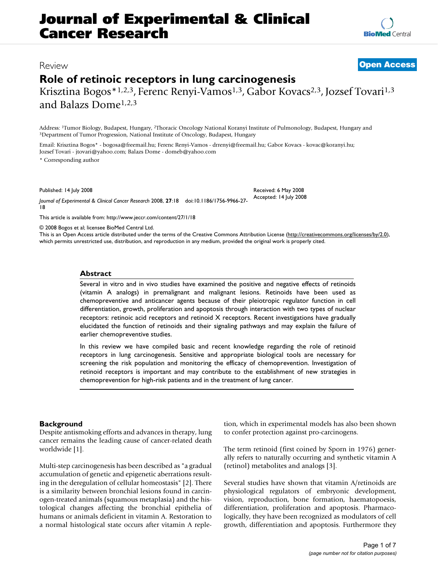# **Journal of Experimental & Clinical Cancer Research**

**[BioMed](http://www.biomedcentral.com/)** Central

### Review **[Open Access](http://www.biomedcentral.com/info/about/charter/)**

## **Role of retinoic receptors in lung carcinogenesis**

Krisztina Bogos \* 1,2,3, Ferenc Renyi-Vamos<sup>1,3</sup>, Gabor Kovacs<sup>2,3</sup>, Jozsef Tovari<sup>1,3</sup> and Balazs Dome1,2,3

Address: <sup>1</sup>Tumor Biology, Budapest, Hungary, <sup>2</sup>Thoracic Oncology National Koranyi Institute of Pulmonology, Budapest, Hungary and <sup>3</sup>Department of Tumor Progression, National Institute of Oncology, Budapest, Hungary

Email: Krisztina Bogos\* - bogosa@freemail.hu; Ferenc Renyi-Vamos - drrenyi@freemail.hu; Gabor Kovacs - kovac@koranyi.hu; Jozsef Tovari - jtovari@yahoo.com; Balazs Dome - domeb@yahoo.com \* Corresponding author

Published: 14 July 2008

*Journal of Experimental & Clinical Cancer Research* 2008, **27**:18 doi:10.1186/1756-9966-27- 18 Accepted: 14 July 2008

[This article is available from: http://www.jeccr.com/content/27/1/18](http://www.jeccr.com/content/27/1/18)

© 2008 Bogos et al; licensee BioMed Central Ltd.

This is an Open Access article distributed under the terms of the Creative Commons Attribution License [\(http://creativecommons.org/licenses/by/2.0\)](http://creativecommons.org/licenses/by/2.0), which permits unrestricted use, distribution, and reproduction in any medium, provided the original work is properly cited.

Received: 6 May 2008

#### **Abstract**

Several in vitro and in vivo studies have examined the positive and negative effects of retinoids (vitamin A analogs) in premalignant and malignant lesions. Retinoids have been used as chemopreventive and anticancer agents because of their pleiotropic regulator function in cell differentiation, growth, proliferation and apoptosis through interaction with two types of nuclear receptors: retinoic acid receptors and retinoid X receptors. Recent investigations have gradually elucidated the function of retinoids and their signaling pathways and may explain the failure of earlier chemopreventive studies.

In this review we have compiled basic and recent knowledge regarding the role of retinoid receptors in lung carcinogenesis. Sensitive and appropriate biological tools are necessary for screening the risk population and monitoring the efficacy of chemoprevention. Investigation of retinoid receptors is important and may contribute to the establishment of new strategies in chemoprevention for high-risk patients and in the treatment of lung cancer.

#### **Background**

Despite antismoking efforts and advances in therapy, lung cancer remains the leading cause of cancer-related death worldwide [1].

Multi-step carcinogenesis has been described as "a gradual accumulation of genetic and epigenetic aberrations resulting in the deregulation of cellular homeostasis" [2]. There is a similarity between bronchial lesions found in carcinogen-treated animals (squamous metaplasia) and the histological changes affecting the bronchial epithelia of humans or animals deficient in vitamin A. Restoration to a normal histological state occurs after vitamin A repletion, which in experimental models has also been shown to confer protection against pro-carcinogens.

The term retinoid (first coined by Sporn in 1976) generally refers to naturally occurring and synthetic vitamin A (retinol) metabolites and analogs [3].

Several studies have shown that vitamin A/retinoids are physiological regulators of embryonic development, vision, reproduction, bone formation, haematopoesis, differentiation, proliferation and apoptosis. Pharmacologically, they have been recognized as modulators of cell growth, differentiation and apoptosis. Furthermore they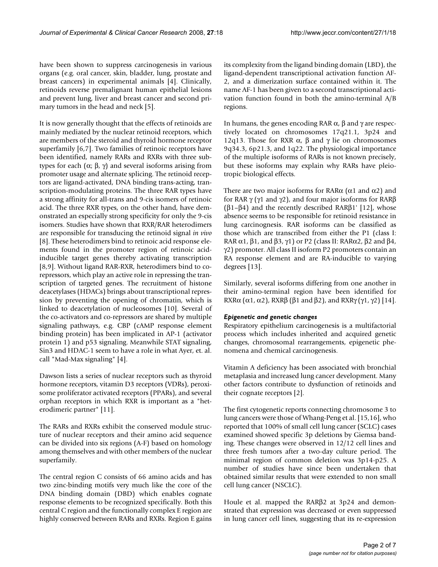have been shown to suppress carcinogenesis in various organs (e.g. oral cancer, skin, bladder, lung, prostate and breast cancers) in experimental animals [4]. Clinically, retinoids reverse premalignant human epithelial lesions and prevent lung, liver and breast cancer and second primary tumors in the head and neck [5].

It is now generally thought that the effects of retinoids are mainly mediated by the nuclear retinoid receptors, which are members of the steroid and thyroid hormone receptor superfamily [6,7]. Two families of retinoic receptors have been identified, namely RARs and RXRs with three subtypes for each (α; β, γ) and several isoforms arising from promoter usage and alternate splicing. The retinoid receptors are ligand-activated, DNA binding trans-acting, transcription-modulating proteins. The three RAR types have a strong affinity for all-trans and 9-cis isomers of retinoic acid. The three RXR types, on the other hand, have demonstrated an especially strong specificity for only the 9-cis isomers. Studies have shown that RXR/RAR heterodimers are responsible for transducing the retinoid signal *in vivo* [8]. These heterodimers bind to retinoic acid response elements found in the promoter region of retinoic acidinducible target genes thereby activating transcription [8,9]. Without ligand RAR-RXR, heterodimers bind to corepressors, which play an active role in repressing the transcription of targeted genes. The recruitment of histone deacetylases (HDACs) brings about transcriptional repression by preventing the opening of chromatin, which is linked to deacetylation of nucleosomes [10]. Several of the co-activators and co-repressors are shared by multiple signaling pathways, e.g. CBP (cAMP response element binding protein) has been implicated in AP-1 (activator protein 1) and p53 signaling. Meanwhile STAT signaling, Sin3 and HDAC-1 seem to have a role in what Ayer, et. al. call "Mad-Max signaling" [4].

Dawson lists a series of nuclear receptors such as thyroid hormone receptors, vitamin D3 receptors (VDRs), peroxisome proliferator activated receptors (PPARs), and several orphan receptors in which RXR is important as a "heterodimeric partner" [11].

The RARs and RXRs exhibit the conserved module structure of nuclear receptors and their amino acid sequence can be divided into six regions (A-F) based on homology among themselves and with other members of the nuclear superfamily.

The central region C consists of 66 amino acids and has two zinc-binding motifs very much like the core of the DNA binding domain (DBD) which enables cognate response elements to be recognized specifically. Both this central C region and the functionally complex E region are highly conserved between RARs and RXRs. Region E gains its complexity from the ligand binding domain (LBD), the ligand-dependent transcriptional activation function AF-2, and a dimerization surface contained within it. The name AF-1 has been given to a second transcriptional activation function found in both the amino-terminal A/B regions.

In humans, the genes encoding RAR  $\alpha$ ,  $\beta$  and  $\gamma$  are respectively located on chromosomes 17q21.1, 3p24 and 12q13. Those for RXR α, β and γ lie on chromosomes 9q34.3, 6p21.3, and 1q22. The physiological importance of the multiple isoforms of RARs is not known precisely, but these isoforms may explain why RARs have pleiotropic biological effects.

There are two major isoforms for RAR $\alpha$  ( $\alpha$ 1 and  $\alpha$ 2) and for RAR γ (γ1 and γ2), and four major isoforms for RARβ (β1–β4) and the recently described RARβ1' [12], whose absence seems to be responsible for retinoid resistance in lung carcinognesis. RAR isoforms can be classified as those which are transcribed from either the P1 (class I: RAR  $\alpha$ 1,  $\beta$ 1, and  $\beta$ 3,  $\gamma$ 1) or P2 (class II: RAR $\alpha$ 2,  $\beta$ 2 and  $\beta$ 4, γ2) promoter. All class II isoform P2 promoters contain an RA response element and are RA-inducible to varying degrees [13].

Similarly, several isoforms differing from one another in their amino-terminal region have been identified for RXR $\alpha$  ( $\alpha$ 1,  $\alpha$ 2), RXR $\beta$  ( $\beta$ 1 and  $\beta$ 2), and RXR $\gamma$  ( $\gamma$ 1,  $\gamma$ 2) [14].

#### *Epigenetic and genetic changes*

Respiratory epithelium carcinogenesis is a multifactorial process which includes inherited and acquired genetic changes, chromosomal rearrangements, epigenetic phenomena and chemical carcinogenesis.

Vitamin A deficiency has been associated with bronchial metaplasia and increased lung cancer development. Many other factors contribute to dysfunction of retinoids and their cognate receptors [2].

The first cytogenetic reports connecting chromosome 3 to lung cancers were those of Whang-Peng et al. [15,16], who reported that 100% of small cell lung cancer (SCLC) cases examined showed specific 3p deletions by Giemsa banding. These changes were observed in 12/12 cell lines and three fresh tumors after a two-day culture period. The minimal region of common deletion was 3p14-p25. A number of studies have since been undertaken that obtained similar results that were extended to non small cell lung cancer (NSCLC).

Houle et al. mapped the RARβ2 at 3p24 and demonstrated that expression was decreased or even suppressed in lung cancer cell lines, suggesting that its re-expression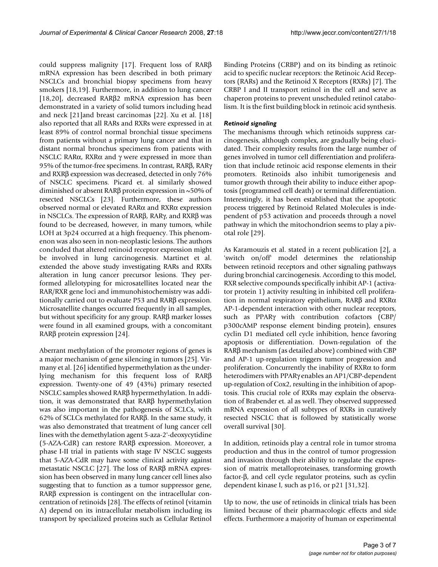could suppress malignity [17]. Frequent loss of RARβ mRNA expression has been described in both primary NSCLCs and bronchial biopsy specimens from heavy smokers [18,19]. Furthermore, in addition to lung cancer [18,20], decreased RARβ2 mRNA expression has been demonstrated in a variety of solid tumors including head and neck [21]and breast carcinomas [22]. Xu et al. [18] also reported that all RARs and RXRs were expressed in at least 89% of control normal bronchial tissue specimens from patients without a primary lung cancer and that in distant normal bronchus specimens from patients with NSCLC RARα, RXRα and γ were expressed in more than 95% of the tumor-free specimens. In contrast, RARβ, RARγ and RXRβ expression was decreased, detected in only 76% of NSCLC specimens. Picard et. al similarly showed diminished or absent RARβ protein expression in ~50% of resected NSCLCs [23]. Furthermore, these authors observed normal or elevated RARα and RXRα expression in NSCLCs. The expression of RARβ, RARγ, and RXRβ was found to be decreased, however, in many tumors, while LOH at 3p24 occurred at a high frequency. This phenomenon was also seen in non-neoplastic lesions. The authors concluded that altered retinoid receptor expression might be involved in lung carcinogenesis. Martinet et al. extended the above study investigating RARs and RXRs alteration in lung cancer precursor lesions. They performed allelotyping for microsatellites located near the RAR/RXR gene loci and immunohistochemistry was additionally carried out to evaluate P53 and RARβ expression. Microsatellite changes occurred frequently in all samples, but without specificity for any group. RARβ marker losses were found in all examined groups, with a concomitant RARβ protein expression [24].

Aberrant methylation of the promoter regions of genes is a major mechanism of gene silencing in tumors [25]. Virmany et al. [26] identified hypermethylation as the underlying mechanism for this frequent loss of RARβ expression. Twenty-one of 49 (43%) primary resected NSCLC samples showed RARβ hypermethylation. In addition, it was demonstrated that RARβ hypermethylation was also important in the pathogenesis of SCLCs, with 62% of SCLCs methylated for RARβ. In the same study, it was also demonstrated that treatment of lung cancer cell lines with the demethylation agent 5-aza-2'-deoxycytidine (5-AZA-CdR) can restore RARβ expression. Moreover, a phase I-II trial in patients with stage IV NSCLC suggests that 5-AZA-CdR may have some clinical activity against metastatic NSCLC [27]. The loss of RARβ mRNA expression has been observed in many lung cancer cell lines also suggesting that to function as a tumor suppressor gene, RARβ expression is contingent on the intracellular concentration of retinoids [28]. The effects of retinol (vitamin A) depend on its intracellular metabolism including its transport by specialized proteins such as Cellular Retinol

Binding Proteins (CRBP) and on its binding as retinoic acid to specific nuclear receptors: the Retinoic Acid Receptors (RARs) and the Retinoid X Receptors (RXRs) [7]. The CRBP I and II transport retinol in the cell and serve as chaperon proteins to prevent unscheduled retinol catabolism. It is the first building block in retinoic acid synthesis.

#### *Retinoid signaling*

The mechanisms through which retinoids suppress carcinogenesis, although complex, are gradually being elucidated. Their complexity results from the large number of genes involved in tumor cell differentiation and proliferation that include retinoic acid response elements in their promoters. Retinoids also inhibit tumorigenesis and tumor growth through their ability to induce either apoptosis (programmed cell death) or terminal differentiation. Interestingly, it has been established that the apoptotic process triggered by Retinoid Related Molecules is independent of p53 activation and proceeds through a novel pathway in which the mitochondrion seems to play a pivotal role [29].

As Karamouzis et al. stated in a recent publication [2], a 'switch on/off' model determines the relationship between retinoid receptors and other signaling pathways during bronchial carcinogenesis. According to this model, RXR selective compounds specifically inhibit AP-1 (activator protein 1) activity resulting in inhibited cell proliferation in normal respiratory epithelium, RARβ and RXRα AP-1-dependent interaction with other nuclear receptors, such as PPARγ with contribution cofactors (CBP/ p300cAMP response element binding protein), ensures cyclin D1 mediated cell cycle inhibition, hence favoring apoptosis or differentiation. Down-regulation of the RARβ mechanism (as detailed above) combined with CBP and AP-1 up-regulation triggers tumor progression and proliferation. Concurrently the inability of RXRα to form heterodimers with PPARγ enables an AP1/CBP-dependent up-regulation of Cox2, resulting in the inhibition of apoptosis. This crucial role of RXRs may explain the observation of Brabender et. al as well. They observed suppressed mRNA expression of all subtypes of RXRs in curatively resected NSCLC that is followed by statistically worse overall survival [30].

In addition, retinoids play a central role in tumor stroma production and thus in the control of tumor progression and invasion through their ability to regulate the expression of matrix metalloproteinases, transforming growth factor-β, and cell cycle regulator proteins, such as cyclin dependent kinase I, such as p16, or p21 [31,32].

Up to now, the use of retinoids in clinical trials has been limited because of their pharmacologic effects and side effects. Furthermore a majority of human or experimental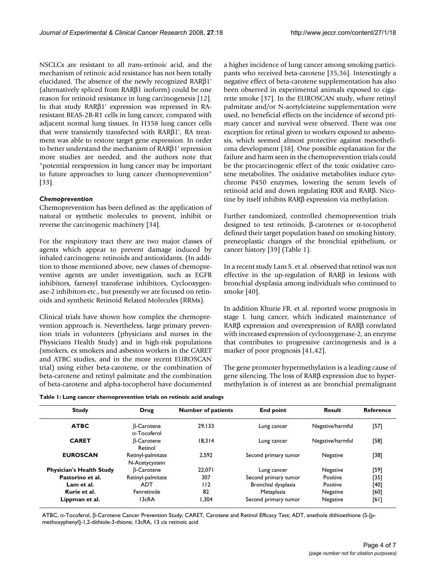NSCLCs are resistant to all *trans*-retinoic acid, and the mechanism of retinoic acid resistance has not been totally elucidated. The absence of the newly recognized RARβ1' (alternatively spliced from RARβ1 isoform) could be one reason for retinoid resistance in lung carcinogenesis [12]. In that study RARβ1' expression was repressed in RAresistant BEAS-2B-R1 cells in lung cancer, compared with adjacent normal lung tissues. In H358 lung cancer cells that were transiently transfected with RARβ1', RA treatment was able to restore target gene expression. In order to better understand the mechanism of RARβ1' repression more studies are needed, and the authors note that "potential reexpression in lung cancer may be important to future approaches to lung cancer chemoprevention" [33].

#### *Chemoprevention*

Chemoprevention has been defined as: the application of natural or synthetic molecules to prevent, inhibit or reverse the carcinogenic machinery [34].

For the respiratory tract there are two major classes of agents which appear to prevent damage induced by inhaled carcinogens: retinoids and antioxidants. (In addition to those mentioned above, new classes of chemopreventive agents are under investigation, such as EGFR inhibitors, farnesyl transferase inhibitors, Cyclooxygenase-2 inhibitors etc., but presently we are focused on retinoids and synthetic Retinoid Related Molecules (RRMs).

Clinical trials have shown how complex the chemoprevention approach is. Nevertheless, large primary prevention trials in volunteers (physicians and nurses in the Physicians Health Study) and in high-risk populations (smokers, ex smokers and asbestos workers in the CARET and ATBC studies, and in the more recent EUROSCAN trial) using either beta-carotene, or the combination of beta-carotene and retinyl palmitate and the combination of beta-carotene and alpha-tocopherol have documented

a higher incidence of lung cancer among smoking participants who received beta-carotene [35,36]. Interestingly a negative effect of beta-carotene supplementation has also been observed in experimental animals exposed to cigarette smoke [37]. In the EUROSCAN study, where retinyl palmitate and/or N-acetylcisteine supplementation were used, no beneficial effects on the incidence of second primary cancer and survival were observed. There was one exception for retinal given to workers exposed to asbestosis, which seemed almost protective against mesothelioma development [38]. One possible explanation for the failure and harm seen in the chemoprevention trials could be the procarcinogenic effect of the toxic oxidative carotene metabolites. The oxidative metabolites induce cytochrome P450 enzymes, lowering the serum levels of retinoid acid and down regulating RXR and RARβ. Nicotine by itself inhibits RARβ expression via methylation.

Further randomized, controlled chemoprevention trials designed to test retinoids, β-carotenes or α-tocopherol defined their target population based on smoking history, preneoplastic changes of the bronchial epithelium, or cancer history [39] (Table 1).

In a recent study Lam S. et al. observed that retinol was not effective in the up-regulation of RARβ in lesions with bronchial dysplasia among individuals who continued to smoke [40].

In addition Khurie FR. et al. reported worse prognosis in stage I. lung cancer, which indicated maintenance of RARβ expression and overexpression of RARβ correlated with increased expression of cyclooxygenase-2, an enzyme that contributes to progressive carcinogenesis and is a marker of poor prognosis [41,42].

The gene promoter hypermethylation is a leading cause of gene silencing. The loss of RARβ expression due to hypermethylation is of interest as are bronchial premalignant

**Table 1: Lung cancer chemoprevention trials on retinoic acid analogs**

| <b>Study</b>                    | Drug                                     | <b>Number of patients</b> | <b>End point</b>     | Result           | Reference |
|---------------------------------|------------------------------------------|---------------------------|----------------------|------------------|-----------|
| <b>ATBC</b>                     | <b>B-Carotene</b><br>$\alpha$ -Tocoferol | 29.133                    | Lung cancer          | Negative/harmful | [57]      |
| <b>CARET</b>                    | <b>B-Carotene</b><br>Retinol             | 18.314                    | Lung cancer          | Negative/harmful | [58]      |
| <b>EUROSCAN</b>                 | Retinyl-palmitate<br>N-Acetycystein      | 2.592                     | Second primary tumor | Negative         | [38]      |
| <b>Physician's Health Study</b> | <b>B-Carotene</b>                        | 22.071                    | Lung cancer          | Negative         | [59]      |
| Pastorino et al.                | Retinyl-palmitate                        | 307                       | Second primary tumor | Positive         | [35]      |
| Lam et al.                      | <b>ADT</b>                               | 112                       | Bronchial dysplasia  | Positive         | [40]      |
| Kurie et al.                    | Fenretinide                              | 82                        | Metaplasia           | Negative         | [60]      |
| Lippman et al.                  | 13cRA                                    | 1.304                     | Second primary tumor | Negative         | [61]      |

ATBC, α-Tocoferol, β-Carotene Cancer Prevention Study; CARET, Carotene and Retinol Efficacy Test; ADT, anethole dithioethione (5-[pmethoxyphenyl]-1,2-dithiole-3-thione; 13cRA, 13 cis retinoic acid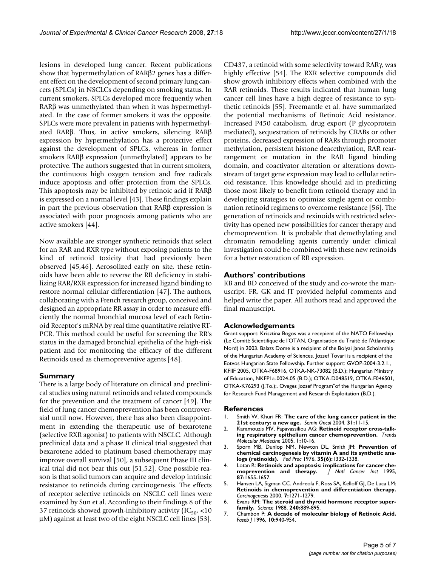lesions in developed lung cancer. Recent publications show that hypermethylation of RARβ2 genes has a different effect on the development of second primary lung cancers (SPLCs) in NSCLCs depending on smoking status. In current smokers, SPLCs developed more frequently when RARβ was unmethylated than when it was hypermethylated. In the case of former smokers it was the opposite. SPLCs were more prevalent in patients with hypermethylated RARβ. Thus, in active smokers, silencing RARβ expression by hypermethylation has a protective effect against the development of SPLCs, whereas in former smokers RARβ expression (unmethylated) appears to be protective. The authors suggested that in current smokers, the continuous high oxygen tension and free radicals induce apoptosis and offer protection from the SPLCs. This apoptosis may be inhibited by retinoic acid if RARβ is expressed on a normal level [43]. These findings explain in part the previous observation that RARβ expression is associated with poor prognosis among patients who are active smokers [44].

Now available are stronger synthetic retinoids that select for an RAR and RXR type without exposing patients to the kind of retinoid toxicity that had previously been observed [45,46]. Aerosolized early on site, these retinoids have been able to reverse the RR deficiency in stabilizing RAR/RXR expression for increased ligand binding to restore normal cellular differentiation [47]. The authors, collaborating with a French research group, conceived and designed an appropriate RR assay in order to measure efficiently the normal bronchial mucosa level of each Retinoid Receptor's mRNA by real time quantitative relative RT-PCR. This method could be useful for screening the RR's status in the damaged bronchial epithelia of the high-risk patient and for monitoring the efficacy of the different Retinoids used as chemopreventive agents [48].

#### **Summary**

There is a large body of literature on clinical and preclinical studies using natural retinoids and related compounds for the prevention and the treatment of cancer [49]. The field of lung cancer chemoprevention has been controversial until now. However, there has also been disappointment in extending the therapeutic use of bexarotene (selective RXR agonist) to patients with NSCLC. Although preclinical data and a phase II clinical trial suggested that bexarotene added to platinum based chemotherapy may improve overall survival [50], a subsequent Phase III clinical trial did not bear this out [51,52]. One possible reason is that solid tumors can acquire and develop intrinsic resistance to retinoids during carcinogenesis. The effects of receptor selective retinoids on NSCLC cell lines were examined by Sun et al. According to their findings 8 of the 37 retinoids showed growth-inhibitory activity ( $IC_{50'}$  <10 μM) against at least two of the eight NSCLC cell lines [53].

CD437, a retinoid with some selectivity toward RARγ, was highly effective [54]. The RXR selective compounds did show growth inhibitory effects when combined with the RAR retinoids. These results indicated that human lung cancer cell lines have a high degree of resistance to synthetic retinoids [55]. Freemantle et al. have summarized the potential mechanisms of Retinoic Acid resistance. Increased P450 catabolism, drug export (P glycoprotein mediated), sequestration of retinoids by CRABs or other proteins, decreased expression of RARs through promoter methylation, persistent histone deacethylation, RAR rearrangement or mutation in the RAR ligand binding domain, and coactivator alteration or alterations downstream of target gene expression may lead to cellular retinoid resistance. This knowledge should aid in predicting those most likely to benefit from retinoid therapy and in developing strategies to optimize single agent or combination retinoid regimens to overcome resistance [56]. The generation of retinoids and rexinoids with restricted selectivity has opened new possibilities for cancer therapy and chemoprevention. It is probable that demethylating and chromatin remodeling agents currently under clinical investigation could be combined with these new retinoids for a better restoration of RR expression.

#### **Authors' contributions**

KB and BD conceived of the study and co-wrote the manuscript. FR, GK and JT provided helpful comments and helped write the paper. All authors read and approved the final manuscript.

#### **Acknowledgements**

Grant support: Krisztina Bogos was a recepient of the NATO Fellowship (Le Comité Scientifique de l'OTAN, Organisation du Traité de l'Atlantique Nord) in 2003. Balazs Dome is a recipient of the Bolyai Janos Scholarship of the Hungarian Academy of Sciences. Jozsef Tovari is a recipient of the Eotvos Hungarian State Fellowship. Further support: GVOP-2004-3.2.1., KFIIF 2005, OTKA-F68916, OTKA-NK-73082 (B.D.); Hungarian Ministry of Education, NKFP1a-0024-05 (B.D.); OTKA-D048519, OTKA-F046501, OTKA-K76293 (J.To.);. Oveges Jozsef Program"of the Hungarian Agency for Research Fund Management and Research Exploitation (B.D.).

#### **References**

- 1. Smith W, Khuri FR: **[The care of the lung cancer patient in the](http://www.ncbi.nlm.nih.gov/entrez/query.fcgi?cmd=Retrieve&db=PubMed&dopt=Abstract&list_uids=15124128) [21st century: a new age.](http://www.ncbi.nlm.nih.gov/entrez/query.fcgi?cmd=Retrieve&db=PubMed&dopt=Abstract&list_uids=15124128)** *Semin Oncol* 2004, **31:**11-15.
- 2. Karamouzis MV, Papavassiliou AG: **Retinoid receptor cross-talking respiratory epithelium cancer chemoprevention.** *Trends Molecular Medecine* 2005, **1:**10-16.
- 3. Sporn MB, Dunlop NM, Newton DL, Smith JM: **[Prevention of](http://www.ncbi.nlm.nih.gov/entrez/query.fcgi?cmd=Retrieve&db=PubMed&dopt=Abstract&list_uids=770206) [chemical carcinogenesis by vitamin A and its synthetic ana](http://www.ncbi.nlm.nih.gov/entrez/query.fcgi?cmd=Retrieve&db=PubMed&dopt=Abstract&list_uids=770206)[logs \(retinoids\).](http://www.ncbi.nlm.nih.gov/entrez/query.fcgi?cmd=Retrieve&db=PubMed&dopt=Abstract&list_uids=770206)** *Fed Proc* 1976, **35(6):**1332-1338.
- 4. Lotan R: **[Retinoids and apoptosis: implications for cancer che](http://www.ncbi.nlm.nih.gov/entrez/query.fcgi?cmd=Retrieve&db=PubMed&dopt=Abstract&list_uids=7473809)[moprevention and therapy.](http://www.ncbi.nlm.nih.gov/entrez/query.fcgi?cmd=Retrieve&db=PubMed&dopt=Abstract&list_uids=7473809)** *J Natl Cancer Inst* 1995, **87:**1655-1657.
- 5. Hansen LA, Sigman CC, Andreola F, Ross SA, Kelloff GJ, De Luca LM: **Retinoids in chemoprevention and differentiation therapy.** *Carcinogenesis* 2000, **7:**1271-1279.
- 6. Evans RM: **[The steroid and thyroid hormone receptor super](http://www.ncbi.nlm.nih.gov/entrez/query.fcgi?cmd=Retrieve&db=PubMed&dopt=Abstract&list_uids=3283939)[family.](http://www.ncbi.nlm.nih.gov/entrez/query.fcgi?cmd=Retrieve&db=PubMed&dopt=Abstract&list_uids=3283939)** *Science* 1988, **240:**889-895.
- 7. Chambon P: **[A decade of molecular biology of Retinoic Acid.](http://www.ncbi.nlm.nih.gov/entrez/query.fcgi?cmd=Retrieve&db=PubMed&dopt=Abstract&list_uids=8801176)** *Faseb J* 1996, **10:**940-954.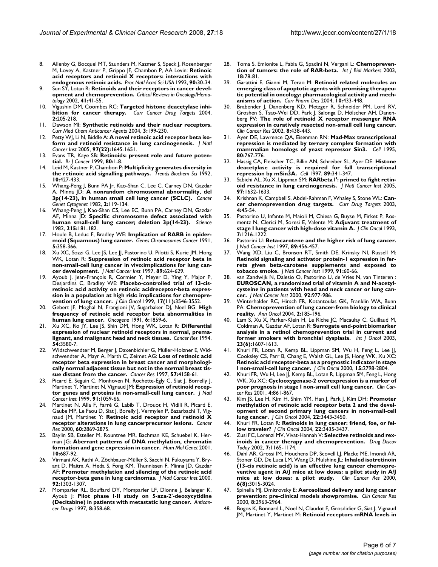- 8. Allenby G, Bocquel MT, Saunders M, Kazmer S, Speck J, Rosenberger M, Lovey A, Kastner P, Grippo JF, Chambon P, AA Levin: **[Retinoic](http://www.ncbi.nlm.nih.gov/entrez/query.fcgi?cmd=Retrieve&db=PubMed&dopt=Abstract&list_uids=8380496) [acid receptors and retinoid X receptors: interactions with](http://www.ncbi.nlm.nih.gov/entrez/query.fcgi?cmd=Retrieve&db=PubMed&dopt=Abstract&list_uids=8380496) [endogenous retinoic acids.](http://www.ncbi.nlm.nih.gov/entrez/query.fcgi?cmd=Retrieve&db=PubMed&dopt=Abstract&list_uids=8380496)** *Proc Natl Acad Sci USA* 1993, **90:**30-34.
- 9. Sun SY, Lotan R: **[Retinoids and their receptors in cancer devel](http://www.ncbi.nlm.nih.gov/entrez/query.fcgi?cmd=Retrieve&db=PubMed&dopt=Abstract&list_uids=11796231)[opment and chemoprevention.](http://www.ncbi.nlm.nih.gov/entrez/query.fcgi?cmd=Retrieve&db=PubMed&dopt=Abstract&list_uids=11796231)** *Critical Reviews in Oncology/Hematology* 2002, **41:**41-55.
- 10. Vigushin DM, Coombes RC: **Targeted histone deacetylase inhibition for cancer therapy.** *Curr Cancer Drug Targets* 2004, **2:**205-218.
- 11. Dawson MI: **Synthetic retinoids and their nuclear receptors.** *Curr Med Chem Anticancer Agents* 2004, **3:**199-230.
- 12. Petty WJ, Li N, Biddle A: **[A novel retinoic acid receptor beta iso](http://www.ncbi.nlm.nih.gov/entrez/query.fcgi?cmd=Retrieve&db=PubMed&dopt=Abstract&list_uids=16288117)[form and retinoid resistance in lung carcinogenesis.](http://www.ncbi.nlm.nih.gov/entrez/query.fcgi?cmd=Retrieve&db=PubMed&dopt=Abstract&list_uids=16288117)** *J Natl Cancer Inst* 2005, **97(22):**1645-1651.
- 13. Evans TR, Kaye SB: **[Retinoids: present role and future poten](http://www.ncbi.nlm.nih.gov/entrez/query.fcgi?cmd=Retrieve&db=PubMed&dopt=Abstract&list_uids=10389969)[tial.](http://www.ncbi.nlm.nih.gov/entrez/query.fcgi?cmd=Retrieve&db=PubMed&dopt=Abstract&list_uids=10389969)** *Br J Cancer* 1999, **80:**1-8.
- 14. Leid M, Kastner P, Chambon P: **[Multiplicity generates diversity in](http://www.ncbi.nlm.nih.gov/entrez/query.fcgi?cmd=Retrieve&db=PubMed&dopt=Abstract&list_uids=1333659) [the retinoic acid signalling pathways.](http://www.ncbi.nlm.nih.gov/entrez/query.fcgi?cmd=Retrieve&db=PubMed&dopt=Abstract&list_uids=1333659)** *Trends Biochem Sci* 1992, **10:**427-433.
- 15. Whang-Peng J, Bunn PA Jr, Kao-Shan C, Lee C, Carney DN, Gazdar A, Minna JD: **A nonrandom chromosomal abnormality, del 3p(14-23), in human small cell lung cancer (SCLC).** *Cancer Genet Cytogenet* 1982, **2:**119-134.
- 16. Whang-Peng J, Kao-Shan CS, Lee EC, Bunn PA, Carney DN, Gazdar AF, Minna JD: **[Specific chromosome defect associated with](http://www.ncbi.nlm.nih.gov/entrez/query.fcgi?cmd=Retrieve&db=PubMed&dopt=Abstract&list_uids=6274023) [human small-cell lung cancer; deletion 3p\(14-23\).](http://www.ncbi.nlm.nih.gov/entrez/query.fcgi?cmd=Retrieve&db=PubMed&dopt=Abstract&list_uids=6274023)** *Science* 1982, **215:**181-182.
- 17. Houle B, Leduc F, Bradley WE: **[Implication of RARB in epider](http://www.ncbi.nlm.nih.gov/entrez/query.fcgi?cmd=Retrieve&db=PubMed&dopt=Abstract&list_uids=1665705 )[moid \(Squamous\) lung cancer.](http://www.ncbi.nlm.nih.gov/entrez/query.fcgi?cmd=Retrieve&db=PubMed&dopt=Abstract&list_uids=1665705 )** *Genes Chromosomes Cancer* 1991, **5:**358-366.
- 18. Xu XC, Sozzi G, Lee JS, Lee JJ, Pastorino U, Pilotti S, Kurie JM, Hong WK, Lotan R: **[Suppression of retinoic acid receptor beta in](http://www.ncbi.nlm.nih.gov/entrez/query.fcgi?cmd=Retrieve&db=PubMed&dopt=Abstract&list_uids=9150186) [non-small-cell lung cancer in vivo:implications for lung can](http://www.ncbi.nlm.nih.gov/entrez/query.fcgi?cmd=Retrieve&db=PubMed&dopt=Abstract&list_uids=9150186)[cer development.](http://www.ncbi.nlm.nih.gov/entrez/query.fcgi?cmd=Retrieve&db=PubMed&dopt=Abstract&list_uids=9150186)** *J Natl Cancer Inst* 1997, **89:**624-629.
- Ayoub J, Jean-François R, Cormier Y, Meyer D, Ying Y, Major P, Desjardins C, Bradley WE: **[Placebo-controlled trial of 13-cis](http://www.ncbi.nlm.nih.gov/entrez/query.fcgi?cmd=Retrieve&db=PubMed&dopt=Abstract&list_uids=10550153)[retinoic acid activity on retinoic acidreceptor-beta expres](http://www.ncbi.nlm.nih.gov/entrez/query.fcgi?cmd=Retrieve&db=PubMed&dopt=Abstract&list_uids=10550153)sion in a population at high risk: implications for chemopre[vention of lung cancer.](http://www.ncbi.nlm.nih.gov/entrez/query.fcgi?cmd=Retrieve&db=PubMed&dopt=Abstract&list_uids=10550153)** *J Clin Oncol* 1999, **17(11):**3546-3552.
- 20. Gebert JF, Moghal N, Frangioni JV, Sugarbaker DJ, Neel BG: **[High](http://www.ncbi.nlm.nih.gov/entrez/query.fcgi?cmd=Retrieve&db=PubMed&dopt=Abstract&list_uids=1717924) [frequency of retinoic acid receptor beta abnormalities in](http://www.ncbi.nlm.nih.gov/entrez/query.fcgi?cmd=Retrieve&db=PubMed&dopt=Abstract&list_uids=1717924) [human lung cancer.](http://www.ncbi.nlm.nih.gov/entrez/query.fcgi?cmd=Retrieve&db=PubMed&dopt=Abstract&list_uids=1717924)** *Oncogene* 1991, **6:**1859-6.
- 21. Xu XC, Ro JY, Lee JS, Shin DM, Hong WK, Lotan R: **[Differential](http://www.ncbi.nlm.nih.gov/entrez/query.fcgi?cmd=Retrieve&db=PubMed&dopt=Abstract&list_uids=8012985) [expression of nuclear retinoid receptors in normal, prema](http://www.ncbi.nlm.nih.gov/entrez/query.fcgi?cmd=Retrieve&db=PubMed&dopt=Abstract&list_uids=8012985)[lignant, and malignant head and neck tissues.](http://www.ncbi.nlm.nih.gov/entrez/query.fcgi?cmd=Retrieve&db=PubMed&dopt=Abstract&list_uids=8012985)** *Cancer Res* 1994, **54:**3580-7.
- 22. Widschwendter M, Berger J, Daxenbichler G, Müller-Holzner E, Widschwendter A, Mayr A, Marth C, Zeimet AG: **[Loss of retinoic acid](http://www.ncbi.nlm.nih.gov/entrez/query.fcgi?cmd=Retrieve&db=PubMed&dopt=Abstract&list_uids=9331065) [receptor beta expression in breast cancer and morphologi](http://www.ncbi.nlm.nih.gov/entrez/query.fcgi?cmd=Retrieve&db=PubMed&dopt=Abstract&list_uids=9331065)cally normal adjacent tissue but not in the normal breast tis[sue distant from the cancer.](http://www.ncbi.nlm.nih.gov/entrez/query.fcgi?cmd=Retrieve&db=PubMed&dopt=Abstract&list_uids=9331065)** *Cancer Res* 1997, **57:**4158-61.
- 23. Picard E, Seguin C, Monhoven N, Rochette-Egly C, Siat J, Borrelly J, Martinet Y, Martinet N, Vignaud JM: **[Expression of retinoid recep](http://www.ncbi.nlm.nih.gov/entrez/query.fcgi?cmd=Retrieve&db=PubMed&dopt=Abstract&list_uids=10379969)[tor genes and proteins in non-small-cell lung cancer.](http://www.ncbi.nlm.nih.gov/entrez/query.fcgi?cmd=Retrieve&db=PubMed&dopt=Abstract&list_uids=10379969)** *J Natl Cancer Inst* 1999, **91:**1059-66.
- 24. Martinet N, Alla F, Farré G, Labib T, Drouot H, Vidili R, Picard E, Gaube MP, Le Faou D, Siat J, Borelly J, Vermylen P, Bazarbachi T, Vi naud JM, Martinet Y: **[Retinoic acid receptor and retinoid X](http://www.ncbi.nlm.nih.gov/entrez/query.fcgi?cmd=Retrieve&db=PubMed&dopt=Abstract&list_uids=10850430) [receptor alterations in lung cancerprecursor lesions.](http://www.ncbi.nlm.nih.gov/entrez/query.fcgi?cmd=Retrieve&db=PubMed&dopt=Abstract&list_uids=10850430)** *Cancer Res* 2000, **60:**2869-2875.
- 25. Baylin SB, Esteller M, Rountree MR, Bachman KE, Schuebel K, Herman JG: **[Aberrant patterns of DNA methylation, chromatin](http://www.ncbi.nlm.nih.gov/entrez/query.fcgi?cmd=Retrieve&db=PubMed&dopt=Abstract&list_uids=11257100) [formation and gene expression in cancer.](http://www.ncbi.nlm.nih.gov/entrez/query.fcgi?cmd=Retrieve&db=PubMed&dopt=Abstract&list_uids=11257100)** *Hum Mol Genet* 2001, **10:**687-92.
- 26. Virmani AK, Rathi A, Zöchbauer-Müller S, Sacchi N, Fukuyama Y, Bryant D, Maitra A, Heda S, Fong KM, Thunnissen F, Minna JD, Gazdar AF: **[Promoter methylation and silencing of the retinoic acid](http://www.ncbi.nlm.nih.gov/entrez/query.fcgi?cmd=Retrieve&db=PubMed&dopt=Abstract&list_uids=10944551) [receptor-beta gene in lung carcinomas.](http://www.ncbi.nlm.nih.gov/entrez/query.fcgi?cmd=Retrieve&db=PubMed&dopt=Abstract&list_uids=10944551)** *J Natl Cancer Inst* 2000, **92:**1303-1307.
- 27. Momparler RL, Bouffard DY, Momparler LF, Dionne J, Belanger K, Ayoub J: **[Pilot phase I-II study on 5-aza-2'-deoxycytidine](http://www.ncbi.nlm.nih.gov/entrez/query.fcgi?cmd=Retrieve&db=PubMed&dopt=Abstract&list_uids=9180389) [\(Decitabine\) in patients with metastatic lung cancer.](http://www.ncbi.nlm.nih.gov/entrez/query.fcgi?cmd=Retrieve&db=PubMed&dopt=Abstract&list_uids=9180389)** *Anticancer Drugs* 1997, **8:**358-68.
- 28. Toma S, Emionite L, Fabia G, Spadini N, Vergani L: **[Chemopreven](http://www.ncbi.nlm.nih.gov/entrez/query.fcgi?cmd=Retrieve&db=PubMed&dopt=Abstract&list_uids=12699070)[tion of tumors: the role of RAR-beta.](http://www.ncbi.nlm.nih.gov/entrez/query.fcgi?cmd=Retrieve&db=PubMed&dopt=Abstract&list_uids=12699070)** *Int J Biol Markers* 2003, **18:**78-81.
- 29. Garattini E, Gianni M, Terao M: **[Retinoid related molecules an](http://www.ncbi.nlm.nih.gov/entrez/query.fcgi?cmd=Retrieve&db=PubMed&dopt=Abstract&list_uids=14965204) [emerging class of apoptotic agents with promising therapeu](http://www.ncbi.nlm.nih.gov/entrez/query.fcgi?cmd=Retrieve&db=PubMed&dopt=Abstract&list_uids=14965204)tic potential in oncology: pharmacological activity and mech[anisms of action.](http://www.ncbi.nlm.nih.gov/entrez/query.fcgi?cmd=Retrieve&db=PubMed&dopt=Abstract&list_uids=14965204)** *Curr Pharm Des* 2004, **10:**433-448.
- 30. Brabender J, Danenberg KD, Metzger R, Schneider PM, Lord RV, Groshen S, Tsao-Wei DD, Park J, Salonga D, Hölscher AH, Danenberg PV: **[The role of retinoid X receptor messenger RNA](http://www.ncbi.nlm.nih.gov/entrez/query.fcgi?cmd=Retrieve&db=PubMed&dopt=Abstract&list_uids=11839661) [expression in curatively resected non-small cell lung cancer.](http://www.ncbi.nlm.nih.gov/entrez/query.fcgi?cmd=Retrieve&db=PubMed&dopt=Abstract&list_uids=11839661)** *Clin Cancer Res* 2002, **8:**438-443.
- 31. Ayer DE, Lawrence QA, Eisenman RN: **[Mad-Max transcriptional](http://www.ncbi.nlm.nih.gov/entrez/query.fcgi?cmd=Retrieve&db=PubMed&dopt=Abstract&list_uids=7889570) [repression is mediated by ternary complex formation with](http://www.ncbi.nlm.nih.gov/entrez/query.fcgi?cmd=Retrieve&db=PubMed&dopt=Abstract&list_uids=7889570) [mammalian homologs of yeast repressor Sin3.](http://www.ncbi.nlm.nih.gov/entrez/query.fcgi?cmd=Retrieve&db=PubMed&dopt=Abstract&list_uids=7889570)** *Cell* 1995, **80:**767-776.
- 32. Hassig CA, Fleischer TC, Billin AN, Schreiber SL, Ayer DE: **[Histone](http://www.ncbi.nlm.nih.gov/entrez/query.fcgi?cmd=Retrieve&db=PubMed&dopt=Abstract&list_uids=9150133) [deacetylase activity is required for full transcriptional](http://www.ncbi.nlm.nih.gov/entrez/query.fcgi?cmd=Retrieve&db=PubMed&dopt=Abstract&list_uids=9150133) [repression by mSin3A.](http://www.ncbi.nlm.nih.gov/entrez/query.fcgi?cmd=Retrieve&db=PubMed&dopt=Abstract&list_uids=9150133)** *Cell* 1997, **89:**341-347.
- 33. Sabichi AL, Xu X, Lippman SM: **[RARbeta1': primed to fight retin](http://www.ncbi.nlm.nih.gov/entrez/query.fcgi?cmd=Retrieve&db=PubMed&dopt=Abstract&list_uids=16288110)[oid resistance in lung carcinogenesis.](http://www.ncbi.nlm.nih.gov/entrez/query.fcgi?cmd=Retrieve&db=PubMed&dopt=Abstract&list_uids=16288110)** *J Natl Cancer Inst* 2005, **97:**1632-1633.
- 34. Krishnan K, Campbell S, Abdel-Rahman F, Whaley S, Stone WL: **[Can](http://www.ncbi.nlm.nih.gov/entrez/query.fcgi?cmd=Retrieve&db=PubMed&dopt=Abstract&list_uids=12528989)[cer chemoprevention drug targets.](http://www.ncbi.nlm.nih.gov/entrez/query.fcgi?cmd=Retrieve&db=PubMed&dopt=Abstract&list_uids=12528989)** *Curr Drug Targets* 2003, **4:**45-54.
- 35. Pastorino U, Infante M, Maioli M, Chiesa G, Buyse M, Firket P, Rosmentz N, Clerici M, Soresi E, Valente M: **Adjuvant treatment of stage I lung cancer with high-dose vitamin A.** *J Clin Oncol* 1993, **7:**1216-1222.
- 36. Pastorini U: **[Beta-carotene and the higher risk of lung cancer.](http://www.ncbi.nlm.nih.gov/entrez/query.fcgi?cmd=Retrieve&db=PubMed&dopt=Abstract&list_uids=9091650)** *J Natl Cancer Inst* 1997, **89:**456-457.
- 37. Wang XD, Liu C, Bronson RT, Smith DE, Krinsky NI, Russell M: **[Retinoid signaling and activator protein-1 expression in fer](http://www.ncbi.nlm.nih.gov/entrez/query.fcgi?cmd=Retrieve&db=PubMed&dopt=Abstract&list_uids=9890171)rets given beta-carotene supplements and exposed to [tobacco smoke.](http://www.ncbi.nlm.nih.gov/entrez/query.fcgi?cmd=Retrieve&db=PubMed&dopt=Abstract&list_uids=9890171)** *J Natl Cancer Inst* 1999, **91:**60-66.
- 38. van Zandwijk N, Dalesio O, Pastorino U, de Vries N, van Tinteren : **[EUROSCAN, a randomized trial of vitamin A and N-acetyl](http://www.ncbi.nlm.nih.gov/entrez/query.fcgi?cmd=Retrieve&db=PubMed&dopt=Abstract&list_uids=10861309)[cysteine in patients with head and neck cancer or lung can](http://www.ncbi.nlm.nih.gov/entrez/query.fcgi?cmd=Retrieve&db=PubMed&dopt=Abstract&list_uids=10861309)[cer.](http://www.ncbi.nlm.nih.gov/entrez/query.fcgi?cmd=Retrieve&db=PubMed&dopt=Abstract&list_uids=10861309)** *J Natl Cancer Inst* 2000, **92:**977-986.
- 39. Winterhalder RC, Hirsch FR, Kotantoulas GK, Franklin WA, Bunn PA: **[Chemoprevention of lung cancer-from biology to clinical](http://www.ncbi.nlm.nih.gov/entrez/query.fcgi?cmd=Retrieve&db=PubMed&dopt=Abstract&list_uids=14760107) [reality.](http://www.ncbi.nlm.nih.gov/entrez/query.fcgi?cmd=Retrieve&db=PubMed&dopt=Abstract&list_uids=14760107)** *Ann Oncol* 2004, **2:**185-196.
- 40. Lam S, Xu X, Parker-Klein H, Le Riche JC, Macaulay C, Guillaud M, Coldman A, Gazdar AF, Lotan R: **[Surrogate end-point biomarker](http://www.ncbi.nlm.nih.gov/entrez/query.fcgi?cmd=Retrieve&db=PubMed&dopt=Abstract&list_uids=14612933) [analysis in a retinol chemoprevention trial in current and](http://www.ncbi.nlm.nih.gov/entrez/query.fcgi?cmd=Retrieve&db=PubMed&dopt=Abstract&list_uids=14612933) [former smokers with bronchial dysplasia.](http://www.ncbi.nlm.nih.gov/entrez/query.fcgi?cmd=Retrieve&db=PubMed&dopt=Abstract&list_uids=14612933)** *Int J Oncol* 2003, **23(6):**1607-1613.
- 41. Khuri FR, Lotan R, Kemp BL, Lippman SM, Wu H, Feng L, Lee JJ, Cooksley CS, Parr B, Chang E, Walsh GL, Lee JS, Hong WK, Xu XC: **Retinoic acid receptor-beta as a prognostic indicator in stage I non-small-cell lung cancer.** *J Clin Oncol* 2000, **15:**2798-2804.
- Khuri FR, Wu H, Lee JJ, Kemp BL, Lotan R, Lippman SM, Feng L, Hong WK, Xu XC: **Cyclooxygenase-2 overexpression is a marker of poor prognosis in stage I non-small cell lung cancer.** *Clin Cancer Res* 2001, **4:**861-867.
- 43. Kim JS, Lee H, Kim H, Shim YM, Han J, Park J, Kim DH: **[Promoter](http://www.ncbi.nlm.nih.gov/entrez/query.fcgi?cmd=Retrieve&db=PubMed&dopt=Abstract&list_uids=15277540) [methylation of retinoic acid receptor beta 2 and the devel](http://www.ncbi.nlm.nih.gov/entrez/query.fcgi?cmd=Retrieve&db=PubMed&dopt=Abstract&list_uids=15277540)opment of second primary lung cancers in non-small-cell [lung cancer.](http://www.ncbi.nlm.nih.gov/entrez/query.fcgi?cmd=Retrieve&db=PubMed&dopt=Abstract&list_uids=15277540)** *J Clin Oncol* 2004, **22:**3443-3450.
- 44. Khuri FR, Lotan R: **[Retinoids in lung cancer: friend, foe, or fel](http://www.ncbi.nlm.nih.gov/entrez/query.fcgi?cmd=Retrieve&db=PubMed&dopt=Abstract&list_uids=15277536)[low traveler?](http://www.ncbi.nlm.nih.gov/entrez/query.fcgi?cmd=Retrieve&db=PubMed&dopt=Abstract&list_uids=15277536)** *J Clin Oncol* 2004, **22:**3435-3437.
- 45. Zusi FC, Lorenzi MV, Vivat-Hannah V: **[Selective retinoids and rex](http://www.ncbi.nlm.nih.gov/entrez/query.fcgi?cmd=Retrieve&db=PubMed&dopt=Abstract&list_uids=12547017)[inoids in cancer therapy and chemoprevention.](http://www.ncbi.nlm.nih.gov/entrez/query.fcgi?cmd=Retrieve&db=PubMed&dopt=Abstract&list_uids=12547017)** *Drug Discov Today* 2002, **7:**1165-1174.
- 46. Dahl AR, Grossi IM, Houchens DP, Scovell LJ, Placke ME, Imondi AR, Stoner GD, De Luca LM, Wang D, Mulshine JL: **[Inhaled isotretinoin](http://www.ncbi.nlm.nih.gov/entrez/query.fcgi?cmd=Retrieve&db=PubMed&dopt=Abstract&list_uids=10955779) [\(13-cis retinoic acid\) is an effective lung cancer chemopre](http://www.ncbi.nlm.nih.gov/entrez/query.fcgi?cmd=Retrieve&db=PubMed&dopt=Abstract&list_uids=10955779)ventive agent in A/J mice at low doses: a pilot study in A/J [mice at low doses: a pilot study.](http://www.ncbi.nlm.nih.gov/entrez/query.fcgi?cmd=Retrieve&db=PubMed&dopt=Abstract&list_uids=10955779)** *Clin Cancer Res* 2000, **6(8):**3015-3024.
- 47. Spinella MJ, Dmitrovsky E: **[Aerosolized delivery and lung cancer](http://www.ncbi.nlm.nih.gov/entrez/query.fcgi?cmd=Retrieve&db=PubMed&dopt=Abstract&list_uids=10955769) [prevention: pre-clinical models showpromise.](http://www.ncbi.nlm.nih.gov/entrez/query.fcgi?cmd=Retrieve&db=PubMed&dopt=Abstract&list_uids=10955769)** *Clin Cancer Res* 2000, **8:**2963-2964.
- 48. Bogos K, Bonnard L, Noel N, Claudot F, Grosdidier G, Siat J, Vignaud JM, Martinet Y, Martinet M: **[Retinoid receptors mRNA levels in](http://www.ncbi.nlm.nih.gov/entrez/query.fcgi?cmd=Retrieve&db=PubMed&dopt=Abstract&list_uids=15505910)**